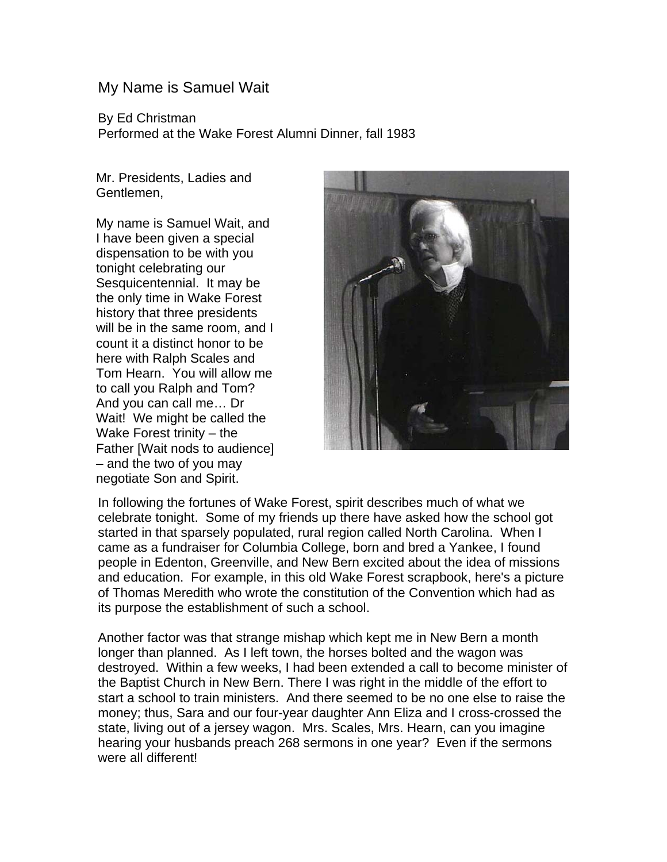## My Name is Samuel Wait

By Ed Christman

Performed at the Wake Forest Alumni Dinner, fall 1983

Mr. Presidents, Ladies and Gentlemen,

My name is Samuel Wait, and I have been given a special dispensation to be with you tonight celebrating our Sesquicentennial. It may be the only time in Wake Forest history that three presidents will be in the same room, and I count it a distinct honor to be here with Ralph Scales and Tom Hearn. You will allow me to call you Ralph and Tom? And you can call me… Dr Wait! We might be called the Wake Forest trinity – the Father [Wait nods to audience] – and the two of you may negotiate Son and Spirit.



In following the fortunes of Wake Forest, spirit describes much of what we celebrate tonight. Some of my friends up there have asked how the school got started in that sparsely populated, rural region called North Carolina. When I came as a fundraiser for Columbia College, born and bred a Yankee, I found people in Edenton, Greenville, and New Bern excited about the idea of missions and education. For example, in this old Wake Forest scrapbook, here's a picture of Thomas Meredith who wrote the constitution of the Convention which had as its purpose the establishment of such a school.

Another factor was that strange mishap which kept me in New Bern a month longer than planned. As I left town, the horses bolted and the wagon was destroyed. Within a few weeks, I had been extended a call to become minister of the Baptist Church in New Bern. There I was right in the middle of the effort to start a school to train ministers. And there seemed to be no one else to raise the money; thus, Sara and our four-year daughter Ann Eliza and I cross-crossed the state, living out of a jersey wagon. Mrs. Scales, Mrs. Hearn, can you imagine hearing your husbands preach 268 sermons in one year? Even if the sermons were all different!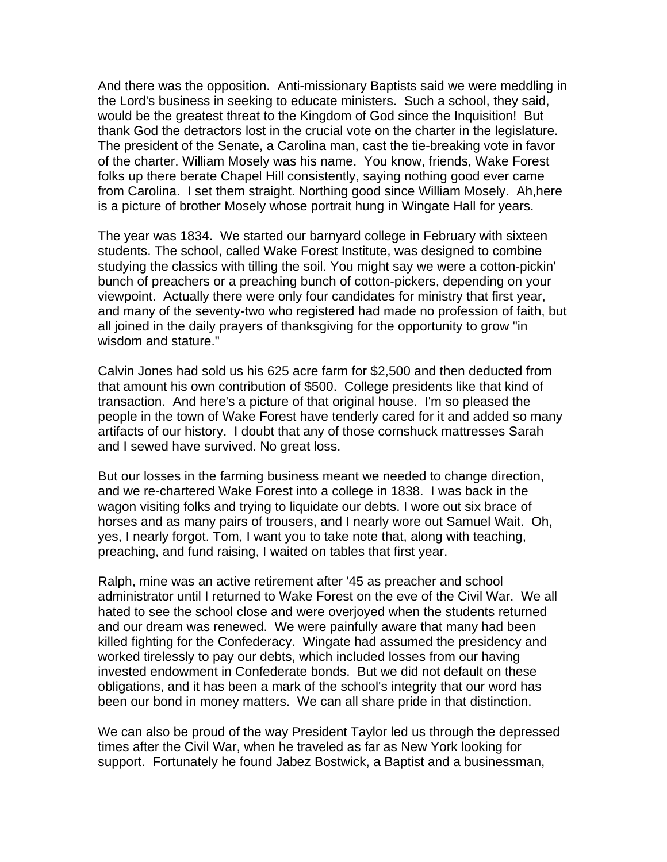And there was the opposition. Anti-missionary Baptists said we were meddling in the Lord's business in seeking to educate ministers. Such a school, they said, would be the greatest threat to the Kingdom of God since the Inquisition! But thank God the detractors lost in the crucial vote on the charter in the legislature. The president of the Senate, a Carolina man, cast the tie-breaking vote in favor of the charter. William Mosely was his name. You know, friends, Wake Forest folks up there berate Chapel Hill consistently, saying nothing good ever came from Carolina. I set them straight. Northing good since William Mosely. Ah,here is a picture of brother Mosely whose portrait hung in Wingate Hall for years.

The year was 1834. We started our barnyard college in February with sixteen students. The school, called Wake Forest Institute, was designed to combine studying the classics with tilling the soil. You might say we were a cotton-pickin' bunch of preachers or a preaching bunch of cotton-pickers, depending on your viewpoint. Actually there were only four candidates for ministry that first year, and many of the seventy-two who registered had made no profession of faith, but all joined in the daily prayers of thanksgiving for the opportunity to grow "in wisdom and stature."

Calvin Jones had sold us his 625 acre farm for \$2,500 and then deducted from that amount his own contribution of \$500. College presidents like that kind of transaction. And here's a picture of that original house. I'm so pleased the people in the town of Wake Forest have tenderly cared for it and added so many artifacts of our history. I doubt that any of those cornshuck mattresses Sarah and I sewed have survived. No great loss.

But our losses in the farming business meant we needed to change direction, and we re-chartered Wake Forest into a college in 1838. I was back in the wagon visiting folks and trying to liquidate our debts. I wore out six brace of horses and as many pairs of trousers, and I nearly wore out Samuel Wait. Oh, yes, I nearly forgot. Tom, I want you to take note that, along with teaching, preaching, and fund raising, I waited on tables that first year.

Ralph, mine was an active retirement after '45 as preacher and school administrator until I returned to Wake Forest on the eve of the Civil War. We all hated to see the school close and were overjoyed when the students returned and our dream was renewed. We were painfully aware that many had been killed fighting for the Confederacy. Wingate had assumed the presidency and worked tirelessly to pay our debts, which included losses from our having invested endowment in Confederate bonds. But we did not default on these obligations, and it has been a mark of the school's integrity that our word has been our bond in money matters. We can all share pride in that distinction.

We can also be proud of the way President Taylor led us through the depressed times after the Civil War, when he traveled as far as New York looking for support. Fortunately he found Jabez Bostwick, a Baptist and a businessman,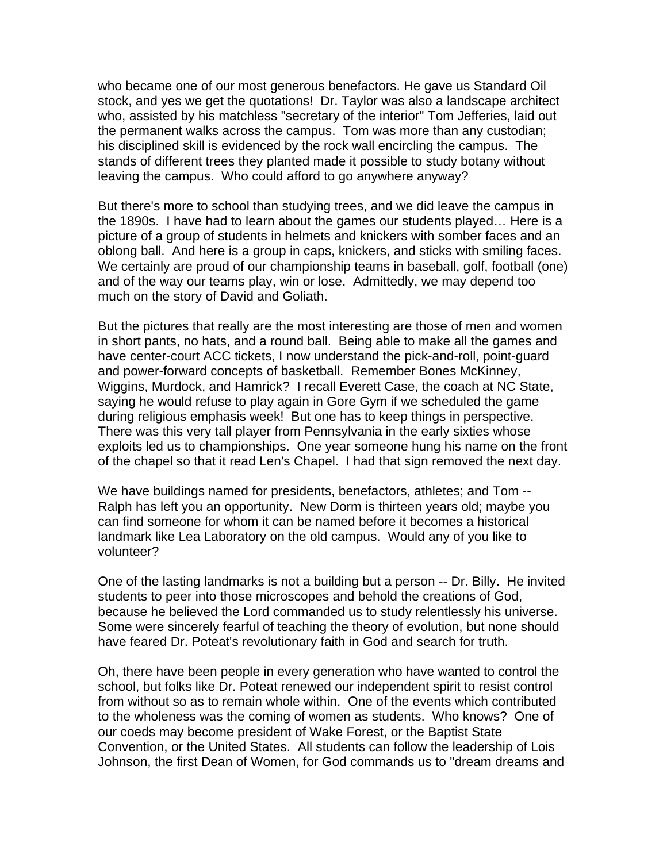who became one of our most generous benefactors. He gave us Standard Oil stock, and yes we get the quotations! Dr. Taylor was also a landscape architect who, assisted by his matchless "secretary of the interior" Tom Jefferies, laid out the permanent walks across the campus. Tom was more than any custodian; his disciplined skill is evidenced by the rock wall encircling the campus. The stands of different trees they planted made it possible to study botany without leaving the campus. Who could afford to go anywhere anyway?

But there's more to school than studying trees, and we did leave the campus in the 1890s. I have had to learn about the games our students played… Here is a picture of a group of students in helmets and knickers with somber faces and an oblong ball. And here is a group in caps, knickers, and sticks with smiling faces. We certainly are proud of our championship teams in baseball, golf, football (one) and of the way our teams play, win or lose. Admittedly, we may depend too much on the story of David and Goliath.

But the pictures that really are the most interesting are those of men and women in short pants, no hats, and a round ball. Being able to make all the games and have center-court ACC tickets, I now understand the pick-and-roll, point-guard and power-forward concepts of basketball. Remember Bones McKinney, Wiggins, Murdock, and Hamrick? I recall Everett Case, the coach at NC State, saying he would refuse to play again in Gore Gym if we scheduled the game during religious emphasis week! But one has to keep things in perspective. There was this very tall player from Pennsylvania in the early sixties whose exploits led us to championships. One year someone hung his name on the front of the chapel so that it read Len's Chapel. I had that sign removed the next day.

We have buildings named for presidents, benefactors, athletes; and Tom -- Ralph has left you an opportunity. New Dorm is thirteen years old; maybe you can find someone for whom it can be named before it becomes a historical landmark like Lea Laboratory on the old campus. Would any of you like to volunteer?

One of the lasting landmarks is not a building but a person -- Dr. Billy. He invited students to peer into those microscopes and behold the creations of God, because he believed the Lord commanded us to study relentlessly his universe. Some were sincerely fearful of teaching the theory of evolution, but none should have feared Dr. Poteat's revolutionary faith in God and search for truth.

Oh, there have been people in every generation who have wanted to control the school, but folks like Dr. Poteat renewed our independent spirit to resist control from without so as to remain whole within. One of the events which contributed to the wholeness was the coming of women as students. Who knows? One of our coeds may become president of Wake Forest, or the Baptist State Convention, or the United States. All students can follow the leadership of Lois Johnson, the first Dean of Women, for God commands us to "dream dreams and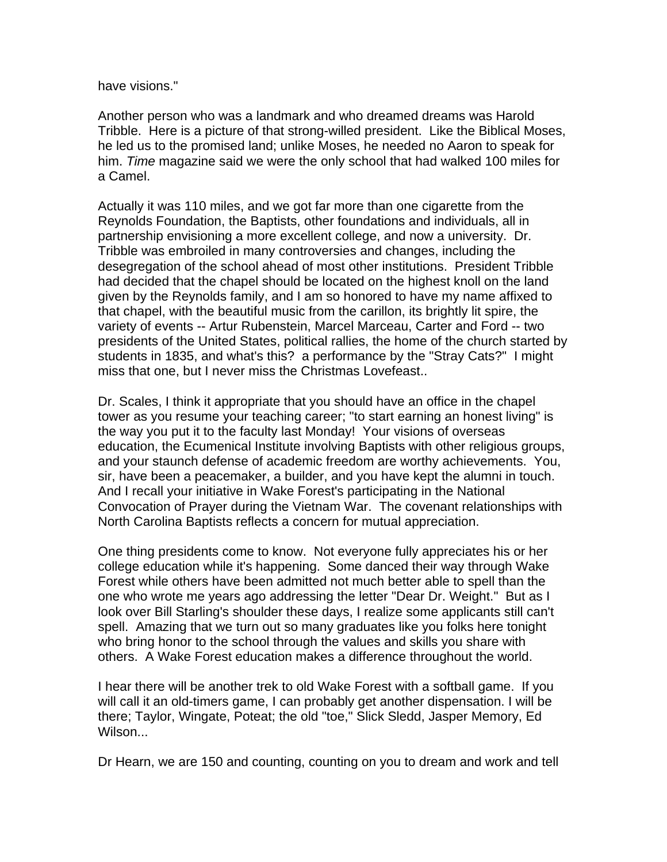have visions."

Another person who was a landmark and who dreamed dreams was Harold Tribble. Here is a picture of that strong-willed president. Like the Biblical Moses, he led us to the promised land; unlike Moses, he needed no Aaron to speak for him. *Time* magazine said we were the only school that had walked 100 miles for a Camel.

Actually it was 110 miles, and we got far more than one cigarette from the Reynolds Foundation, the Baptists, other foundations and individuals, all in partnership envisioning a more excellent college, and now a university. Dr. Tribble was embroiled in many controversies and changes, including the desegregation of the school ahead of most other institutions. President Tribble had decided that the chapel should be located on the highest knoll on the land given by the Reynolds family, and I am so honored to have my name affixed to that chapel, with the beautiful music from the carillon, its brightly lit spire, the variety of events -- Artur Rubenstein, Marcel Marceau, Carter and Ford -- two presidents of the United States, political rallies, the home of the church started by students in 1835, and what's this? a performance by the "Stray Cats?" I might miss that one, but I never miss the Christmas Lovefeast..

Dr. Scales, I think it appropriate that you should have an office in the chapel tower as you resume your teaching career; "to start earning an honest living" is the way you put it to the faculty last Monday! Your visions of overseas education, the Ecumenical Institute involving Baptists with other religious groups, and your staunch defense of academic freedom are worthy achievements. You, sir, have been a peacemaker, a builder, and you have kept the alumni in touch. And I recall your initiative in Wake Forest's participating in the National Convocation of Prayer during the Vietnam War. The covenant relationships with North Carolina Baptists reflects a concern for mutual appreciation.

One thing presidents come to know. Not everyone fully appreciates his or her college education while it's happening. Some danced their way through Wake Forest while others have been admitted not much better able to spell than the one who wrote me years ago addressing the letter "Dear Dr. Weight." But as I look over Bill Starling's shoulder these days, I realize some applicants still can't spell. Amazing that we turn out so many graduates like you folks here tonight who bring honor to the school through the values and skills you share with others. A Wake Forest education makes a difference throughout the world.

I hear there will be another trek to old Wake Forest with a softball game. If you will call it an old-timers game, I can probably get another dispensation. I will be there; Taylor, Wingate, Poteat; the old "toe," Slick Sledd, Jasper Memory, Ed Wilson...

Dr Hearn, we are 150 and counting, counting on you to dream and work and tell